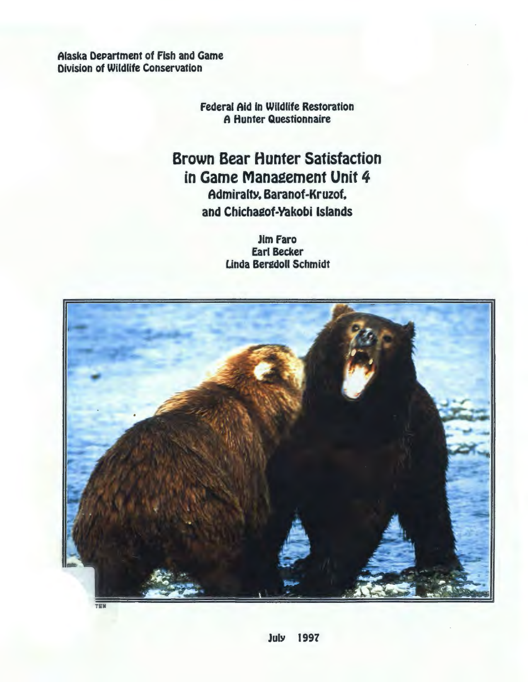Alaska DePartment of Fish and Game Division of Wildlife Conservation

> Federal Aid in Wildlife Restoration A Hunter Questionnaire

Brown Bear Hunter Satisfaction in Game Management Unit 4 Admiralty. Baranof-Kruzof. and Chichagof-Yakobi Islands

> Jim Faro Earl Becker Unda Beredoll Schmidt

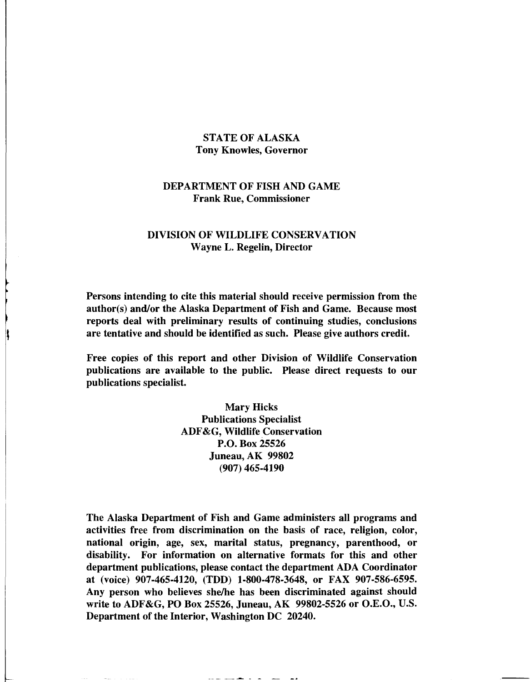## STATE OF ALASKA Tony Knowles, Governor

## DEPARTMENT OF FISH AND GAME Frank Rue, Commissioner

## DIVISION OF WILDLIFE CONSERVATION Wayne L. Regelin, Director

Persons intending to cite this material should receive permission from the author(s) and/or the Alaska Department of Fish and Game. Because most reports deal with preliminary results of continuing studies, conclusions are tentative and should be identified as such. Please give authors credit.

Free copies of this report and other Division of Wildlife Conservation publications are available to the public. Please direct requests to our publications specialist.

> Mary Hicks Publications Specialist ADF &G, Wildlife Conservation P.O. Box 25526 Juneau, AK 99802 (907) 465-4190

The Alaska Department of Fish and Game administers all programs and activities free from discrimination on the basis of race, religion, color, national origin, age, sex, marital status, pregnancy, parenthood, or disability. For information on alternative formats for this and other department publications, please contact the department ADA Coordinator at (voice) 907-465-4120, (TDD) 1-800-478-3648, or FAX 907-586-6595. Any person who believes she/he has been discriminated against should write to ADF &G, PO Box 25526, Juneau, AK 99802-5526 or O.E.O., U.S. Department of the Interior, Washington DC 20240.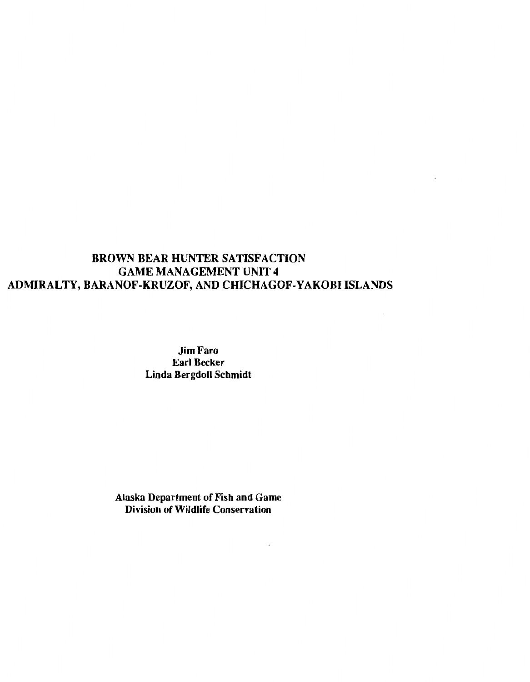# BROWN BEAR HUNTER SATISFACTION GAME MANAGEMENT UNIT 4 ADMIRALTY, BARANOF-KRUZOF, AND CHICHAGOF-YAKOBI ISLANDS

 $\sim 10^{-1}$ 

Jim Faro Earl Becker Linda Bergdoll Schmidt

Alaska Department of Fish and Game Division of Wildlife Conservation

 $\sim$   $\sim$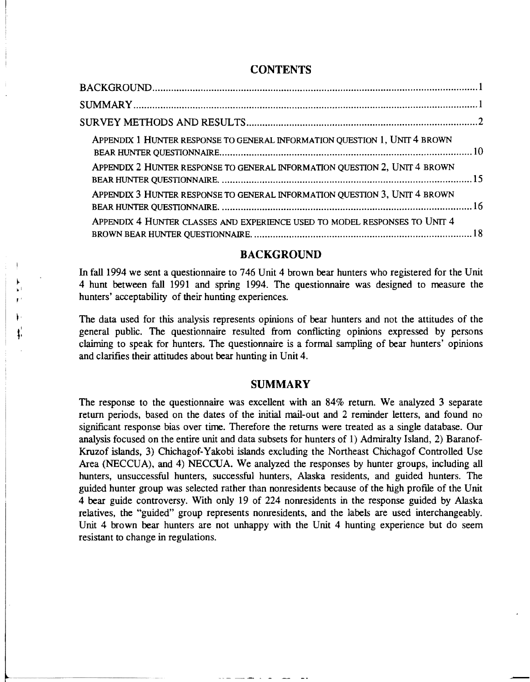# **CONTENTS**

| APPENDIX 1 HUNTER RESPONSE TO GENERAL INFORMATION QUESTION 1, UNIT 4 BROWN |  |
|----------------------------------------------------------------------------|--|
| APPENDIX 2 HUNTER RESPONSE TO GENERAL INFORMATION QUESTION 2, UNIT 4 BROWN |  |
| APPENDIX 3 HUNTER RESPONSE TO GENERAL INFORMATION QUESTION 3, UNIT 4 BROWN |  |
| APPENDIX 4 HUNTER CLASSES AND EXPERIENCE USED TO MODEL RESPONSES TO UNIT 4 |  |

# **BACKGROUND**

In fall 1994 we sent a questionnaire to 746 Unit 4 brown bear hunters who registered for the Unit 4 hunt between fall 1991 and spring 1994. The questionnaire was designed to measure the hunters' acceptability of their hunting experiences.

~ ol ,'

> The data used for this analysis represents opinions of bear hunters and not the attitudes of the general public. The questionnaire resulted from conflicting opinions expressed by persons claiming to speak for hunters. The questionnaire is a formal sampling of bear hunters' opinions and clarifies their attitudes about bear hunting in Unit 4.

#### SUMMARY

The response to the questionnaire was excellent with an 84% return. We analyzed 3 separate return periods, based on the dates of the initial mail-out and 2 reminder letters, and found no significant response bias over time. Therefore the returns were treated as a single database. Our analysis focused on the entire unit and data subsets for hunters of 1) Admiralty Island, 2) Baranof-Kruzof islands, 3) Chichagof-Yakobi islands excluding the Northeast Chichagof Controlled Use Area (NECCUA), and 4) NECCUA. We analyzed the responses by hunter groups, including all hunters, unsuccessful hunters, successful hunters, Alaska residents, and guided hunters. The guided hunter group was selected rather than nonresidents because of the high profile of the Unit 4 bear guide controversy. With only 19 of 224 nonresidents in the response guided by Alaska relatives, the "guided" group represents nonresidents, and the labels are used interchangeably. Unit 4 brown bear hunters are not unhappy with the Unit 4 hunting experience but do seem resistant to change in regulations.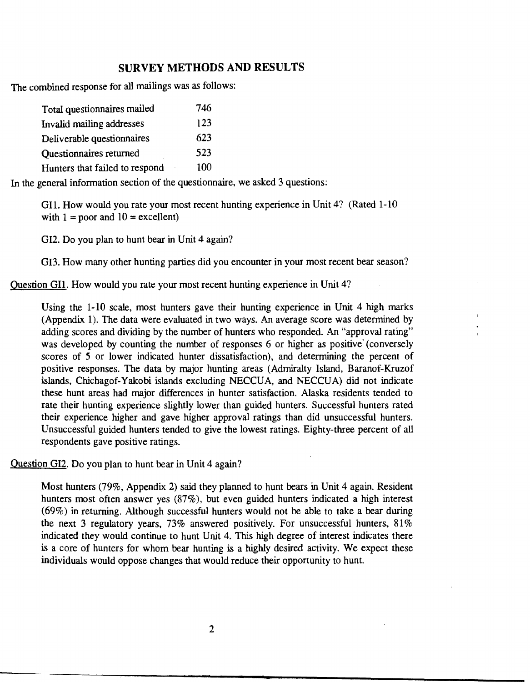# **SURVEY METHODS AND RESULTS**

The combined response for all mailings was as follows:

| Total questionnaires mailed    | 746 |
|--------------------------------|-----|
| Invalid mailing addresses      | 123 |
| Deliverable questionnaires     | 623 |
| <b>Ouestionnaires returned</b> | 523 |
| Hunters that failed to respond | 100 |

In the general information section of the questionnaire, we asked 3 questions:

Gil. How would you rate your most recent hunting experience in Unit 4? (Rated 1-10 with  $1 =$  poor and  $10 =$  excellent)

GI2. Do you plan to hunt bear in Unit 4 again?

GI3. How many other hunting parties did you encounter in your most recent bear season?

Question Gil. How would you rate your most recent hunting experience in Unit 4?

Using the 1-10 scale, most hunters gave their hunting experience in Unit 4 high marks (Appendix 1). The data were evaluated in two ways. An average score was determined by adding scores and dividing by the number of hunters who responded. An "approval rating" was developed by counting the number of responses 6 or higher as positive (conversely scores of 5 or lower indicated hunter dissatisfaction), and determining the percent of positive responses. The data by major hunting areas (Admiralty Island, Baranof-Kruzof islands, Chichagof-Yakobi islands excluding NECCUA, and NECCUA) did not indicate these hunt areas had major differences in hunter satisfaction. Alaska residents tended to rate their hunting experience slightly lower than guided hunters. Successful hunters rated their experience higher and gave higher approval ratings than did unsuccessful hunters. Unsuccessful guided hunters tended to give the lowest ratings. Eighty-three percent of all respondents gave positive ratings.

Question GI2. Do you plan to hunt bear in Unit 4 again?

Most hunters (79%, Appendix 2) said they planned to hunt bears in Unit 4 again. Resident hunters most often answer yes (87%), but even guided hunters indicated a high interest (69%) in returning. Although successful hunters would not be able to take a bear during the next 3 regulatory years, 73% answered positively. For unsuccessful hunters, 81% indicated they would continue to hunt Unit 4. This high degree of interest indicates there is a core of hunters for whom bear hunting is a highly desired activity. We expect these individuals would oppose changes that would reduce their opportunity to hunt.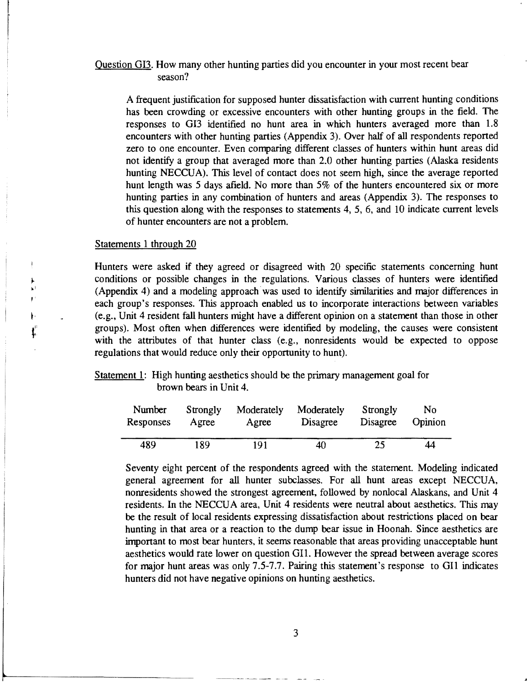# Question GI3. How many other hunting parties did you encounter in your most recent bear season?

A frequent justification for supposed hunter dissatisfaction with current hunting conditions has been crowding or excessive encounters with other hunting groups in the field. The responses to GI3 identified no hunt area in which hunters averaged more than 1.8 encounters with other hunting parties (Appendix 3). Over ha1f of all respondents reported zero to one encounter. Even comparing different classes of hunters within hunt areas did not identify a group that averaged more than 2.0 other hunting parties (Alaska residents hunting NECCUA). This level of contact does not seem high, since the average reported hunt length was 5 days afield. No more than 5% of the hunters encountered six or more hunting parties in any combination of hunters and areas (Appendix 3). The responses to this question along with the responses to statements 4, 5, 6, and 10 indicate current levels of hunter encounters are not a problem.

#### Statements 1 through 20

,,

'' *t*  1'

Hunters were asked if they agreed or disagreed with 20 specific statements concerning hunt conditions or possible changes in the regulations. Various classes of hunters were identified (Appendix 4) and a modeling approach was used to identify similarities and major differences in each group's responses. This approach enabled us to incorporate interactions between variables (e.g., Unit 4 resident fall hunters might have a different opinion on a statement than those in other groups). Most often when differences were identified by modeling, the causes were consistent with the attributes of that hunter class (e.g., nonresidents would be expected to oppose regulations that would reduce only their opportunity to hunt).

Statement 1: High hunting aesthetics should be the primary management goal for brown bears in Unit 4.

| Number    | Strongly | Moderately | Moderately | Strongly | No      |
|-----------|----------|------------|------------|----------|---------|
| Responses | Agree    | Agree      | Disagree   | Disagree | Opinion |
| 489.      | 189      | 191        | 40         | 25       | 44      |

Seventy eight percent of the respondents agreed with the statement. Modeling indicated general agreement for all hunter subclasses. For all hunt areas except NECCUA, nonresidents showed the strongest agreement, followed by nonlocal Alaskans, and Unit 4 residents. In the NECCUA area, Unit 4 residents were neutral about aesthetics. This may be the result of local residents expressing dissatisfaction about restrictions placed on bear hunting in that area or a reaction to the dump bear issue in Hoonah. Since aesthetics are important to most bear hunters, it seems reasonable that areas providing unacceptable hunt aesthetics would rate lower on question Gil. However the spread between average scores for major hunt areas was only 7.5-7.7. Pairing this statement's response to GI1 indicates hunters did not have negative opinions on hunting aesthetics.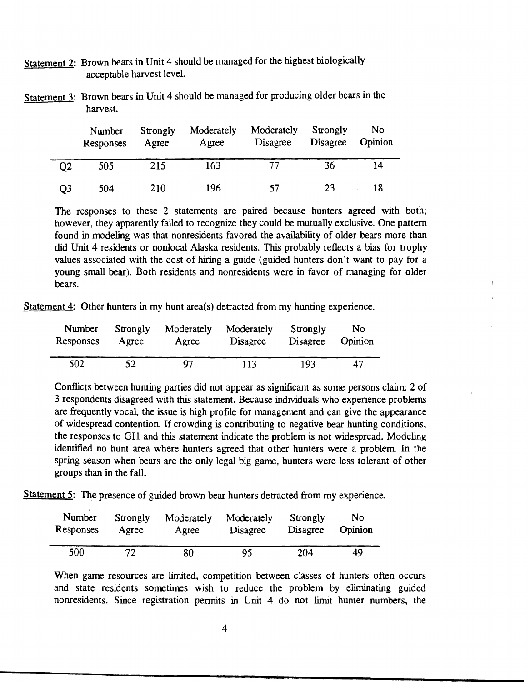- Statement 2: Brown bears in Unit 4 should be managed for the highest biologically acceptable harvest level.
- Statement 3: Brown bears in Unit 4 should be managed for producing older bears in the harvest.

|                | Number<br>Responses | Strongly<br>Agree | Moderately<br>Agree | Moderately<br>Disagree | Strongly<br>Disagree | No<br>Opinion |
|----------------|---------------------|-------------------|---------------------|------------------------|----------------------|---------------|
| O <sub>2</sub> | 505                 | 215               | 163                 |                        | 36                   | 14            |
| Q3             | 504                 | 210               | 196                 | -52.                   | 23                   | 18            |

The responses to these 2 statements are paired because hunters agreed with both; however, they apparently failed to recognize they could be mutually exclusive. One pattern found in modeling was that nonresidents favored the availability of older bears more than did Unit 4 residents or nonlocal Alaska residents. This probably reflects a bias for trophy values associated with the cost of hiring a guide (guided hunters don't want to pay for a young small bear). Both residents and nonresidents were in favor of managing for older bears.

Statement 4: Other hunters in my hunt area(s) detracted from my hunting experience.

| Number    | Strongly | Moderately | Moderately | Strongly | No      |
|-----------|----------|------------|------------|----------|---------|
| Responses | Agree    | Agree      | Disagree   | Disagree | Opinion |
| 502       | 52       | 97         | 113        | 193      | 47      |

Conflicts between hunting parties did not appear as significant as some persons claim; 2 of 3 respondents disagreed with this statement. Because individuals who experience problems are frequently vocal, the issue is high profile for management and can give the appearance of widespread contention. If crowding is contributing to negative bear hunting conditions, the responses to Gil and this statement indicate the problem is not widespread. Modeling identified no hunt area where hunters agreed that other hunters were a problem. In the spring season when bears are the only legal big game, hunters were less tolerant of other groups than in the fall.

Statement 5: The presence of guided brown bear hunters detracted from my experience.

| Number    | Strongly | Moderately | Moderately | Strongly | No      |
|-----------|----------|------------|------------|----------|---------|
| Responses | Agree    | Agree      | Disagree   | Disagree | Opinion |
| 500       | 72       | 80         | 95         | 204      | 49      |

When game resources are limited, competition between classes of hunters often occurs and state residents sometimes wish to reduce the problem by eliminating guided nonresidents. Since registration permits in Unit 4 do not limit hunter numbers, the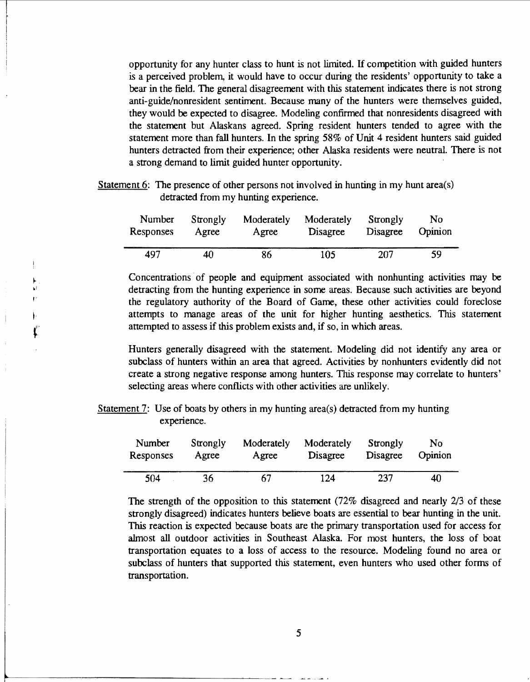opportunity for any hunter class to hunt is not limited. If competition with guided hunters is a perceived problem, it would have to occur during the residents' opportunity to take a bear in the field. The general disagreement with this statement indicates there is not strong anti-guide/nonresident sentiment. Because many of the hunters were themselves guided, they would be expected to disagree. Modeling confirmed that nonresidents disagreed with the statement but Alaskans agreed. Spring resident hunters tended to agree with the statement more than fall hunters. In the spring 58% of Unit 4 resident hunters said guided hunters detracted from their experience; other Alaska residents were neutral. There is not a strong demand to limit guided hunter opportunity.

Statement 6: The presence of other persons not involved in hunting in my hunt area(s) detracted from my hunting experience.

| Number    | Strongly | Moderately | Moderately | Strongly | No.     |
|-----------|----------|------------|------------|----------|---------|
| Responses | Agree    | Agree      | Disagree   | Disagree | Opinion |
| 497       | 40       | 86         | 105        | 207      | 59      |

Concentrations of people and equipment associated with nonhunting activities may be detracting from the hunting experience in some areas. Because such activities are beyond the regulatory authority of the Board of Game, these other activities could foreclose attempts to manage areas of the unit for higher hunting aesthetics. This statement attempted to assess if this problem exists and, if so, in which areas.

Hunters generally disagreed with the statement. Modeling did not identify any area or subclass of hunters within an area that agreed. Activities by nonhunters evidently did not create a strong negative response among hunters. This response may correlate to hunters' selecting areas where conflicts with other activities are unlikely.

Statement 7: Use of boats by others in my hunting area(s) detracted from my hunting experience.

| Number    | Strongly | Moderately | Moderately | Strongly        | No      |
|-----------|----------|------------|------------|-----------------|---------|
| Responses | Agree    | Agree      | Disagree   | <b>Disagree</b> | Opinion |
| 504       | 36       | 67         | 124        | 237             | 40      |

The strength of the opposition to this statement (72% disagreed and nearly 2/3 of these strongly disagreed) indicates hunters believe boats are essential to bear hunting in the unit. This reaction is expected because boats are the primary transportation used for access for almost all outdoor activities in Southeast Alaska. For most hunters, the loss of boat transportation equates to a loss of access to the resource. Modeling found no area or subclass of hunters that supported this statement, even hunters who used other forms of transportation.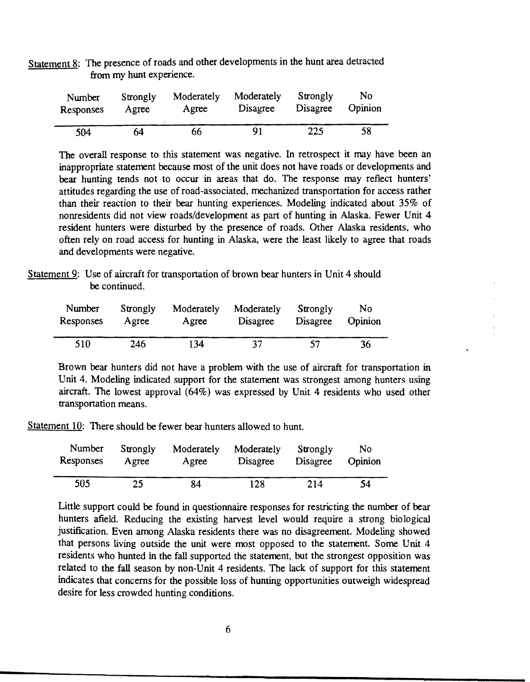Statement 8: The presence of roads and other developments in the hunt area detracted from my hunt experience.

| Number    | Strongly | Moderately | Moderately      | Strongly | No      |
|-----------|----------|------------|-----------------|----------|---------|
| Responses | Agree    | Agree      | <b>Disagree</b> | Disagree | Opinion |
| 504       | 64       | 66         | 91              | 225      | 58      |

The overall response to this statement was negative. In retrospect it may have been an inappropriate statement because most of the unit does not have roads or developments and bear hunting tends not to occur in areas that do. The response may reflect hunters' attitudes regarding the use of road-associated, mechanized transportation for access rather than their reaction to their bear hunting experiences. Modeling indicated about 35% of nonresidents did not view roads/development as part of hunting in Alaska. Fewer Unit 4 resident hunters were disturbed by the presence of roads. Other Alaska residents, who often rely on road access for hunting in Alaska, were the least likely to agree that roads and developments were negative.

Statement 9: Use of aircraft for transportation of brown bear hunters in Unit 4 should be continued.

| Number    | Strongly | Moderately | Moderately      | Strongly | No      |
|-----------|----------|------------|-----------------|----------|---------|
| Responses | Agree    | Agree      | <b>Disagree</b> | Disagree | Opinion |
| 510       | 246      | 134        | 37              | 57       | 36      |

Brown bear hunters did not have a problem with the use of aircraft for transportation in Unit 4. Modeling indicated support for the statement was strongest among hunters using aircraft. The lowest approval (64%) was expressed by Unit 4 residents who used other transportation means.

Statement 10: There should be fewer bear hunters allowed to hunt.

| Number    | Strongly | Moderately | Moderately | Strongly | No      |
|-----------|----------|------------|------------|----------|---------|
| Responses | Agree    | Agree      | Disagree   | Disagree | Opinion |
| 505       | 25       | 84         | 128        | 214      | 54      |

Little support could be found in questionnaire responses for restricting the number of bear hunters afield. Reducing the existing harvest level would require a strong biological justification. Even among Alaska residents there was no disagreement. Modeling showed that persons living outside the unit were most opposed to the statement. Some Unit 4 residents who hunted in the fall supported the statement, but the strongest opposition was related to the fall season by non-Unit 4 residents. The lack of support for this statement indicates that concerns for the possible loss of hunting opportunities outweigh widespread desire for less crowded hunting conditions.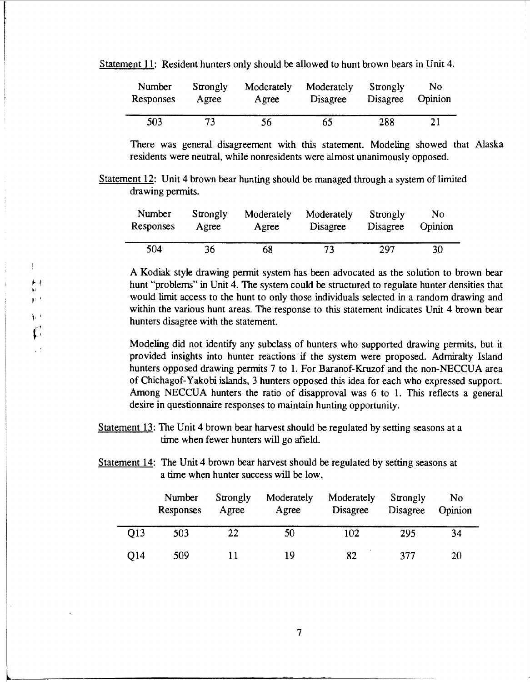#### Statement 11: Resident hunters only should be allowed to hunt brown bears in Unit 4.

| Number    | Strongly | Moderately | Moderately | Strongly | No      |
|-----------|----------|------------|------------|----------|---------|
| Responses | Agree    | Agree      | Disagree   | Disagree | Opinion |
| 503       | フス       | 56         | 65         | 288      | 21      |

There was general disagreement with this statement. Modeling showed that Alaska residents were neutral, while nonresidents were almost unanimously opposed.

Statement 12: Unit 4 brown bear hunting should be managed through a system of limited drawing permits.

| Number    | Strongly | Moderately | Moderately | Strongly        | No      |
|-----------|----------|------------|------------|-----------------|---------|
| Responses | Agree    | Agree      | Disagree   | <b>Disagree</b> | Opinion |
| 504       | 36       | 68         | 73         | 297             | 30      |

 $\frac{1}{\mathbf{h}^2}$ 

'' I

A Kodiak style drawing permit system has been advocated as the solution to brown bear hunt "problems" in Unit 4. The system could be structured to regulate hunter densities that would limit access to the hunt to only those individuals selected in a random drawing and within the various hunt areas. The response to this statement indicates Unit 4 brown bear hunters disagree with the statement.

Modeling did not identify any subclass of hunters who supported drawing permits, but it provided insights into hunter reactions if the system were proposed. Admiralty Island hunters opposed drawing permits 7 to 1. For Baranof-Kruzof and the non-NECCUA area of Chichagof-Yakobi islands, 3 hunters opposed this idea for each who expressed support. Among NECCUA hunters the ratio of disapproval was 6 to 1. This reflects a general desire in questionnaire responses to maintain hunting opportunity.

Statement 13: The Unit 4 brown bear harvest should be regulated by setting seasons at a time when fewer hunters will go afield.

Statement 14: The Unit 4 brown bear harvest should be regulated by setting seasons at a time when hunter success will be low.

|                 | Number<br>Responses | Strongly<br>Agree | Moderately<br>Agree | Moderately<br>Disagree | Strongly<br><b>Disagree</b> | No<br>Opinion |
|-----------------|---------------------|-------------------|---------------------|------------------------|-----------------------------|---------------|
| O <sub>13</sub> | 503                 | 22                | 50                  | 102                    | 295                         | 34            |
| O14             | 509                 |                   | 19                  | 82                     | 377                         | 20            |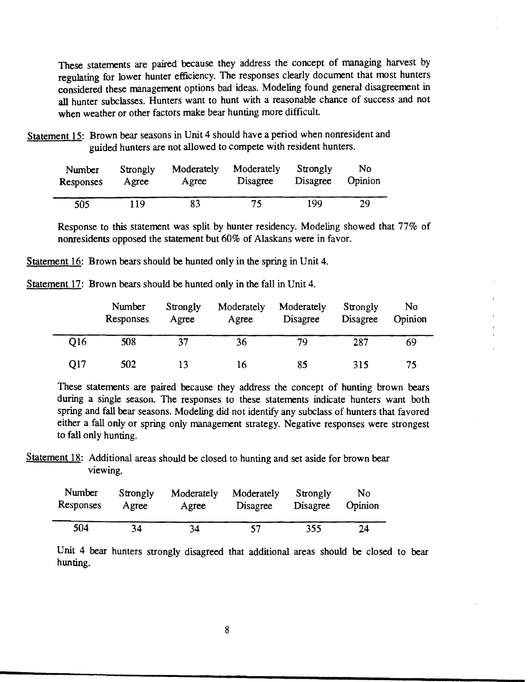These statements are paired because they address the concept of managing harvest by regulating for lower hunter efficiency. The responses clearly document that most hunters considered these management options bad ideas. Modeling found general disagreement in all hunter subclasses. Hunters want to hunt with a reasonable chance of success and not when weather or other factors make bear hunting more difficult.

Statement 15: Brown bear seasons in Unit 4 should have a period when nonresident and guided hunters are not allowed to compete with resident hunters.

| Number    | Strongly | Moderately | Moderately | Strongly | No.     |
|-----------|----------|------------|------------|----------|---------|
| Responses | Agree    | Agree      | Disagree   | Disagree | Opinion |
| 505       | 119      | 83         | 75.        | 199      | 29      |

Response to this statement was split by hunter residency. Modeling showed that 77% of nonresidents opposed the statement but 60% of Alaskans were in favor.

Statement 16: Brown bears should be hunted only in the spring in Unit 4.

Statement 17: Brown bears should be hunted only in the fall in Unit 4.

|                 | Number<br>Responses | Strongly<br>Agree | Moderately<br>Agree | Moderately<br>Disagree | Strongly<br>Disagree | No<br>Opinion |
|-----------------|---------------------|-------------------|---------------------|------------------------|----------------------|---------------|
| O <sub>16</sub> | 508                 | 37                | 36                  | 79                     | 287                  | 69            |
| O17             | 502                 |                   | 16                  | 85                     | 315                  | 75            |

These statements are paired because they address the concept of hunting brown bears during a single season. The responses to these statements indicate hunters want both spring and fall bear seasons. Modeling did not identify any subclass of hunters that favored either a fall only or spring only management strategy. Negative responses were strongest to fall only hunting.

Statement 18: Additional areas should be closed to hunting and set aside for brown bear viewing.

| Number    | Strongly | Moderately | Moderately | Strongly | No      |
|-----------|----------|------------|------------|----------|---------|
| Responses | Agree    | Agree      | Disagree   | Disagree | Opinion |
| 504       | 34       | 34         | 57         | 355      | 24      |

Unit 4 bear hunters strongly disagreed that additional areas should be closed to bear hunting.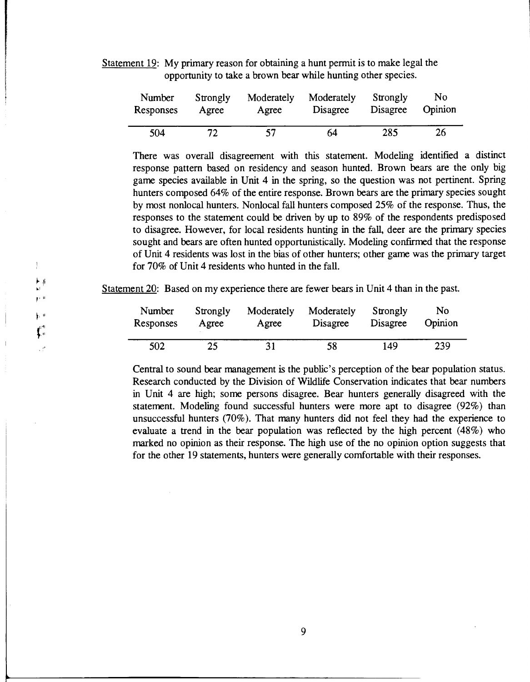Statement 19: My primary reason for obtaining a hunt permit is to make legal the opportunity to take a brown bear while hunting other species.

| Number    | Strongly | Moderately | Moderately | Strongly        | No      |
|-----------|----------|------------|------------|-----------------|---------|
| Responses | Agree    | Agree      | Disagree   | <b>Disagree</b> | Opinion |
| 504       | 72       | 57         | 64         | 285             | 26      |

There was overall disagreement with this statement. Modeling identified a distinct response pattern based on residency and season hunted. Brown bears are the only big game species available in Unit 4 in the spring, so the question was not pertinent. Spring hunters composed 64% of the entire response. Brown bears are the primary species sought by most nonlocal hunters. Nonlocal fall hunters composed 25% of the response. Thus, the responses to the statement could be driven by up to 89% of the respondents predisposed to disagree. However, for local residents hunting in the fall, deer are the primary species sought and bears are often hunted opportunistically. Modeling confirmed that the response of Unit 4 residents was lost in the bias of other hunters; other game was the primary target for 70% of Unit 4 residents who hunted in the fall.

Statement 20: Based on my experience there are fewer bears in Unit 4 than in the past.

 $\mathbf{r} \in \mathbb{R}$  $\frac{1}{2}$  ,  $\frac{1}{2}$ 

 $\mathbf{f}^{\text{eff}}_{\text{0}}$  $\mathcal{L}^t$ 

 $\mathbf{I}$  $\blacktriangleright$  #

| Number    | Strongly | Moderately | Moderately | Strongly | No      |
|-----------|----------|------------|------------|----------|---------|
| Responses | Agree    | Agree      | Disagree   | Disagree | Opinion |
| 502       | 25       | 31         | 58         | 149      | 239     |

Central to sound bear management is the public's perception of the bear population status. Research conducted by the Division of Wildlife Conservation indicates that bear numbers in Unit 4 are high; some persons disagree. Bear hunters generally disagreed with the statement. Modeling found successful hunters were more apt to disagree (92%) than unsuccessful hunters (70% ). That many hunters did not feel they had the experience to evaluate a trend in the bear population was reflected by the high percent (48%) who marked no opinion as their response. The high use of the no opinion option suggests that for the other 19 statements, hunters were generally comfortable with their responses.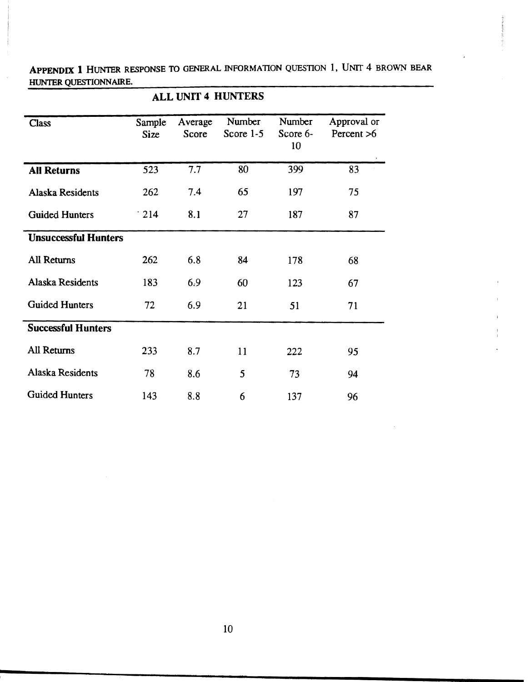APPENDIX 1 HUNTER RESPONSE TO GENERAL INFORMATION QUESTION 1, UNIT 4 BROWN BEAR HUNTER QUESTIONNAIRE.

| <b>ALL UNIT 4 HUNTERS</b>   |                |                  |                       |                          |                             |  |  |  |  |
|-----------------------------|----------------|------------------|-----------------------|--------------------------|-----------------------------|--|--|--|--|
| <b>Class</b>                | Sample<br>Size | Average<br>Score | Number<br>Score $1-5$ | Number<br>Score 6-<br>10 | Approval or<br>Percent $>6$ |  |  |  |  |
| <b>All Returns</b>          | 523            | 7.7              | 80                    | 399                      | 83                          |  |  |  |  |
| <b>Alaska Residents</b>     | 262            | 7.4              | 65                    | 197                      | 75                          |  |  |  |  |
| <b>Guided Hunters</b>       | $\cdot$ 214    | 8.1              | 27                    | 187                      | 87                          |  |  |  |  |
| <b>Unsuccessful Hunters</b> |                |                  |                       |                          |                             |  |  |  |  |
| <b>All Returns</b>          | 262            | 6.8              | 84                    | 178                      | 68                          |  |  |  |  |
| Alaska Residents            | 183            | 6.9              | 60                    | 123                      | 67                          |  |  |  |  |
| <b>Guided Hunters</b>       | 72             | 6.9              | 21                    | 51                       | 71                          |  |  |  |  |
| <b>Successful Hunters</b>   |                |                  |                       |                          |                             |  |  |  |  |
| All Returns                 | 233            | 8.7              | 11                    | 222                      | 95                          |  |  |  |  |
| Alaska Residents            | 78             | 8.6              | 5                     | 73                       | 94                          |  |  |  |  |
| <b>Guided Hunters</b>       | 143            | 8.8              | 6                     | 137                      | 96                          |  |  |  |  |

10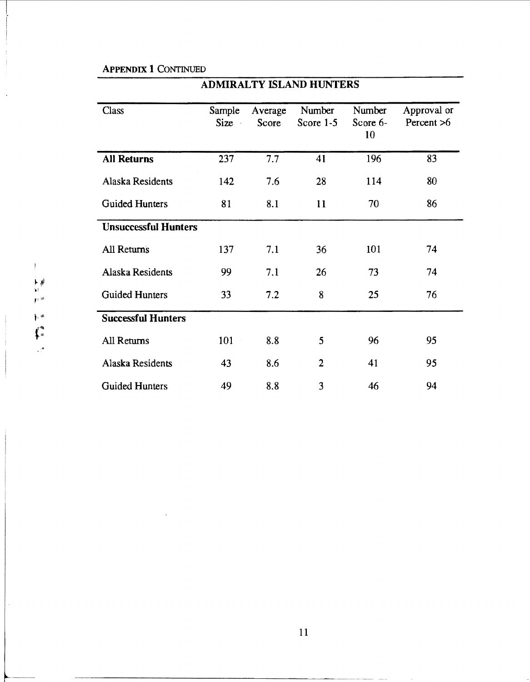# APPENDIX 1 CONTINUED

| Class                       | Sample<br>Size<br>$\bar{a}$ | Average<br>Score | Number<br>Score 1-5 | Number<br>Score 6-<br>10 | Approval or<br>Percent >6 |
|-----------------------------|-----------------------------|------------------|---------------------|--------------------------|---------------------------|
| <b>All Returns</b>          | 237                         | 7.7              | 41                  | 196                      | 83                        |
| Alaska Residents            | 142                         | 7.6              | 28                  | 114                      | 80                        |
| <b>Guided Hunters</b>       | 81                          | 8.1              | 11                  | 70                       | 86                        |
| <b>Unsuccessful Hunters</b> |                             |                  |                     |                          |                           |
| <b>All Returns</b>          | 137                         | 7.1              | 36                  | 101                      | 74                        |
| Alaska Residents            | 99                          | 7.1              | 26                  | 73                       | 74                        |
| <b>Guided Hunters</b>       | 33                          | 7.2              | 8                   | 25                       | 76                        |
| <b>Successful Hunters</b>   |                             |                  |                     |                          |                           |
| All Returns                 | 101                         | 8.8              | 5                   | 96                       | 95                        |
| Alaska Residents            | 43                          | 8.6              | $\overline{2}$      | 41                       | 95                        |
| <b>Guided Hunters</b>       | 49                          | 8.8              | 3                   | 46                       | 94                        |

# ADMIRALTY ISLAND HUNTERS

 $\mathbf{I}^{\top}$ 

11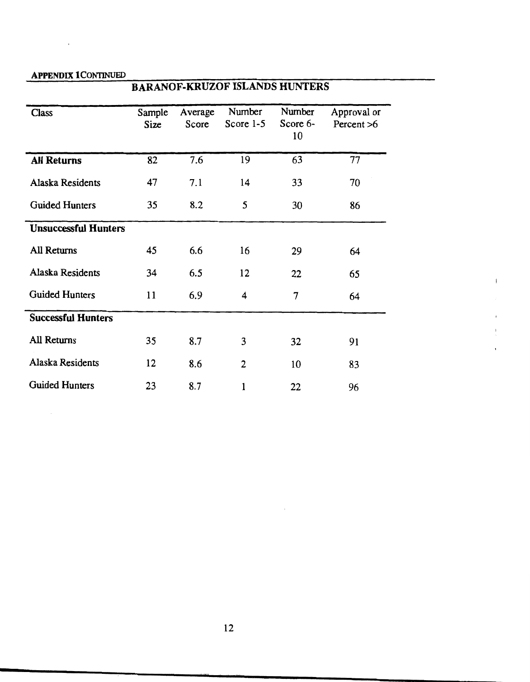# APPENDIX I CONTINUED

# BARANOF-KRUZOF ISLANDS HUNTERS

| Class                       | Sample<br>Size | Average<br>Score | Number<br>Score $1-5$ | Number<br>Score 6-<br>10 | Approval or<br>Percent $>6$ |
|-----------------------------|----------------|------------------|-----------------------|--------------------------|-----------------------------|
| <b>All Returns</b>          | 82             | 7.6              | 19                    | 63                       | 77                          |
| Alaska Residents            | 47             | 7.1              | 14                    | 33                       | 70                          |
| <b>Guided Hunters</b>       | 35             | 8.2              | 5                     | 30                       | 86                          |
| <b>Unsuccessful Hunters</b> |                |                  |                       |                          |                             |
| All Returns                 | 45             | 6.6              | 16                    | 29                       | 64                          |
| Alaska Residents            | 34             | 6.5              | 12                    | 22                       | 65                          |
| Guided Hunters              | 11             | 6.9              | 4                     | 7                        | 64                          |
| <b>Successful Hunters</b>   |                |                  |                       |                          |                             |
| All Returns                 | 35             | 8.7              | 3                     | 32                       | 91                          |
| Alaska Residents            | 12             | 8.6              | $\overline{2}$        | 10                       | 83                          |
| <b>Guided Hunters</b>       | 23             | 8.7              | $\mathbf{1}$          | 22                       | 96                          |

į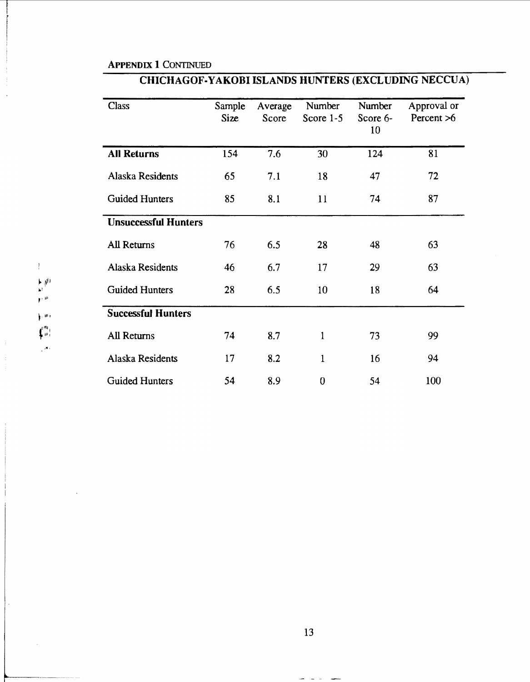#### APPENDIX 1 CONTINUED

#### CHICHAGOF-YAKOBI ISLANDS HUNTERS (EXCLUDING NECCUA)

| <b>Class</b>                | Sample<br>Size | Average<br>Score | Number<br>Score $1-5$ | Number<br>Score 6-<br>10 | Approval or<br>Percent >6 |
|-----------------------------|----------------|------------------|-----------------------|--------------------------|---------------------------|
| <b>All Returns</b>          | 154            | 7.6              | 30                    | 124                      | 81                        |
| Alaska Residents            | 65             | 7.1              | 18                    | 47                       | 72                        |
| <b>Guided Hunters</b>       | 85             | 8.1              | 11                    | 74                       | 87                        |
| <b>Unsuccessful Hunters</b> |                |                  |                       |                          |                           |
| <b>All Returns</b>          | 76             | 6.5              | 28                    | 48                       | 63                        |
| Alaska Residents            | 46             | 6.7              | 17                    | 29                       | 63                        |
| <b>Guided Hunters</b>       | 28             | 6.5              | 10                    | 18                       | 64                        |
| <b>Successful Hunters</b>   |                |                  |                       |                          |                           |
| All Returns                 | 74             | 8.7              | 1                     | 73                       | 99                        |
| Alaska Residents            | 17             | 8.2              | $\mathbf{1}$          | 16                       | 94                        |
| <b>Guided Hunters</b>       | 54             | 8.9              | $\bf{0}$              | 54                       | 100                       |

 $\blacktriangleright\neq^{\dagger\dagger}$ oi  $r$   $^{\mu}$ ' il~ *t*   $\int_{-10}^{17\mathrm{R}}$  $,$   $,$ 

 $\mathfrak{f}$ 

13

 $\rightarrow$  1  $\rightarrow$  1  $\rightarrow$  1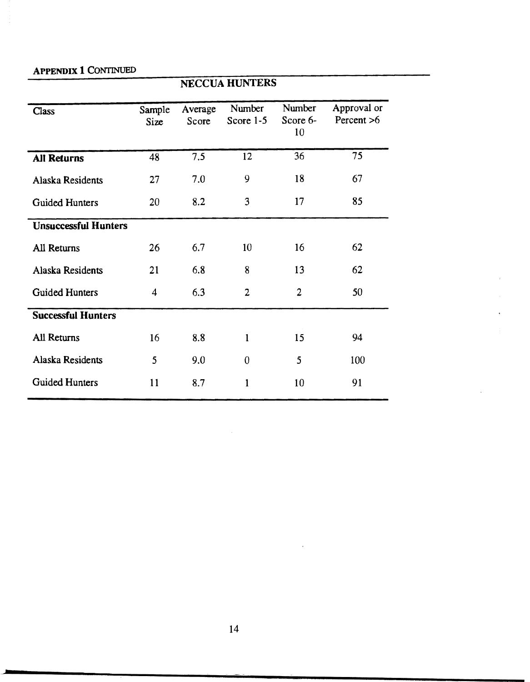# APPENDIX 1 CONTINUED

|                             | <b>NECCUA HUNTERS</b>   |                  |                     |                          |                           |  |
|-----------------------------|-------------------------|------------------|---------------------|--------------------------|---------------------------|--|
| Class                       | Sample<br>Size          | Average<br>Score | Number<br>Score 1-5 | Number<br>Score 6-<br>10 | Approval or<br>Percent >6 |  |
| <b>All Returns</b>          | 48                      | 7.5              | 12                  | 36                       | 75                        |  |
| Alaska Residents            | 27                      | 7.0              | 9                   | 18                       | 67                        |  |
| <b>Guided Hunters</b>       | 20                      | 8.2              | 3                   | 17                       | 85                        |  |
| <b>Unsuccessful Hunters</b> |                         |                  |                     |                          |                           |  |
| <b>All Returns</b>          | 26                      | 6.7              | 10                  | 16                       | 62                        |  |
| Alaska Residents            | 21                      | 6.8              | 8                   | 13                       | 62                        |  |
| <b>Guided Hunters</b>       | $\overline{\mathbf{4}}$ | 6.3              | $\overline{2}$      | $\overline{2}$           | 50                        |  |
| <b>Successful Hunters</b>   |                         |                  |                     |                          |                           |  |
| <b>All Returns</b>          | 16                      | 8.8              | $\mathbf{1}$        | 15                       | 94                        |  |
| Alaska Residents            | 5                       | 9.0              | $\mathbf{0}$        | 5                        | 100                       |  |
| <b>Guided Hunters</b>       | 11                      | 8.7              | $\mathbf{1}$        | 10                       | 91                        |  |

÷.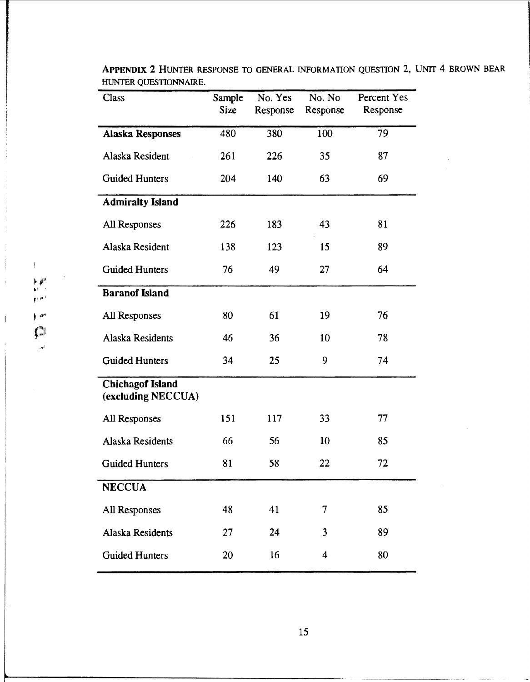|                                                                                                                          | Class                                         | Sample<br>Size | No. Yes<br>Response | No. No<br>Response      | Percent Yes<br>Response |  |  |
|--------------------------------------------------------------------------------------------------------------------------|-----------------------------------------------|----------------|---------------------|-------------------------|-------------------------|--|--|
|                                                                                                                          | <b>Alaska Responses</b>                       | 480            | 380                 | 100                     | 79                      |  |  |
| $\vdash \emptyset^\mu$<br>$_{\rm I}$ and<br>$\mu\mathrm{m}^\mu$<br>$\mathbf{f}_{\mathbf{w}}^{(n)}$<br>$\mathbb{R}^{n^l}$ | Alaska Resident                               | 261            | 226                 | 35                      | 87                      |  |  |
|                                                                                                                          | <b>Guided Hunters</b>                         | 204<br>140     |                     | 63                      | 69                      |  |  |
|                                                                                                                          | <b>Admiralty Island</b>                       |                |                     |                         |                         |  |  |
|                                                                                                                          | All Responses                                 | 226            | 183                 | 43                      | 81                      |  |  |
|                                                                                                                          | Alaska Resident                               | 138            | 123                 | 15                      | 89                      |  |  |
|                                                                                                                          | <b>Guided Hunters</b>                         | 76             | 49                  | 27                      | 64                      |  |  |
|                                                                                                                          | <b>Baranof Island</b>                         |                |                     |                         |                         |  |  |
|                                                                                                                          | All Responses                                 | 80             | 61                  | 19                      | 76                      |  |  |
|                                                                                                                          | Alaska Residents                              | 46             | 36                  | 10                      | 78                      |  |  |
|                                                                                                                          | <b>Guided Hunters</b>                         | 34             | 25                  | 9                       | 74                      |  |  |
|                                                                                                                          | <b>Chichagof Island</b><br>(excluding NECCUA) |                |                     |                         |                         |  |  |
|                                                                                                                          | All Responses                                 | 151            | 117                 | 33                      | 77                      |  |  |
|                                                                                                                          | Alaska Residents                              | 66             | 56                  | 10                      | 85                      |  |  |
|                                                                                                                          | <b>Guided Hunters</b>                         | 81             | 58                  | 22                      | 72                      |  |  |
|                                                                                                                          | <b>NECCUA</b>                                 |                |                     |                         |                         |  |  |
|                                                                                                                          | All Responses                                 | 48             | 41                  | 7                       | 85                      |  |  |
|                                                                                                                          | Alaska Residents                              | 27             | 24                  | 3                       | 89                      |  |  |
|                                                                                                                          | <b>Guided Hunters</b>                         | 20             | 16                  | $\overline{\mathbf{4}}$ | 80                      |  |  |

APPENDIX 2 HUNTER RESPONSE TO GENERAL INFORMATION QUESTION 2, UNIT 4 BROWN BEAR HUNTER QUESTIONNAIRE.

~~II'

 $\mathbf{F}$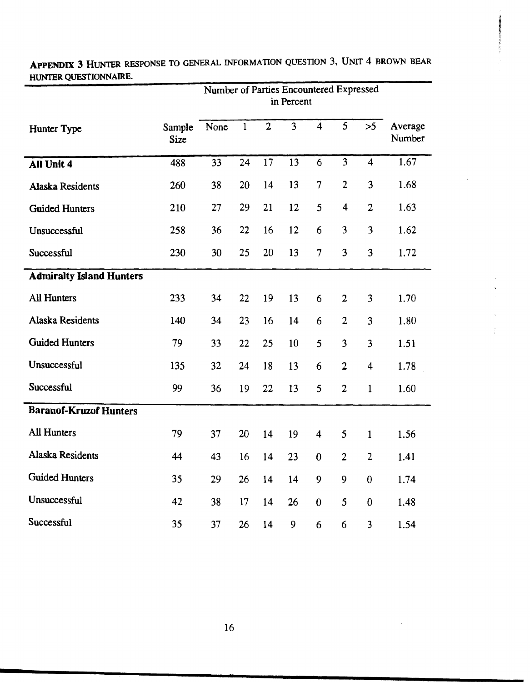|                                 |                | Number of Parties Encountered Expressed<br>in Percent |              |                |                         |                         |                         |                         |                   |
|---------------------------------|----------------|-------------------------------------------------------|--------------|----------------|-------------------------|-------------------------|-------------------------|-------------------------|-------------------|
| Hunter Type                     | Sample<br>Size | None                                                  | $\mathbf{1}$ | $\overline{2}$ | $\overline{\mathbf{3}}$ | $\overline{4}$          | $\overline{5}$          | >5                      | Average<br>Number |
| All Unit 4                      | 488            | 33                                                    | 24           | 17             | 13                      | 6                       | 3                       | $\overline{\mathbf{4}}$ | 1.67              |
| <b>Alaska Residents</b>         | 260            | 38                                                    | 20           | 14             | 13                      | $\overline{\tau}$       | $\overline{2}$          | 3                       | 1.68              |
| <b>Guided Hunters</b>           | 210            | 27                                                    | 29           | 21             | 12                      | 5                       | $\overline{\mathbf{4}}$ | $\overline{2}$          | 1.63              |
| Unsuccessful                    | 258            | 36                                                    | 22           | 16             | 12                      | 6                       | 3                       | 3                       | 1.62              |
| Successful                      | 230            | 30                                                    | 25           | 20             | 13                      | $\overline{7}$          | 3                       | 3                       | 1.72              |
| <b>Admiralty Island Hunters</b> |                |                                                       |              |                |                         |                         |                         |                         |                   |
| <b>All Hunters</b>              | 233            | 34                                                    | 22           | 19             | 13                      | 6                       | $\overline{2}$          | 3                       | 1.70              |
| <b>Alaska Residents</b>         | 140            | 34                                                    | 23           | 16             | 14                      | 6                       | $\overline{2}$          | 3                       | 1.80              |
| <b>Guided Hunters</b>           | 79             | 33                                                    | 22           | 25             | 10                      | 5                       | 3                       | 3                       | 1.51              |
| Unsuccessful                    | 135            | 32                                                    | 24           | 18             | 13                      | 6                       | $\overline{2}$          | $\overline{\mathbf{4}}$ | 1.78              |
| Successful                      | 99             | 36                                                    | 19           | 22             | 13                      | 5                       | $\overline{2}$          | $\mathbf{1}$            | 1.60              |
| <b>Baranof-Kruzof Hunters</b>   |                |                                                       |              |                |                         |                         |                         |                         |                   |
| All Hunters                     | 79             | 37                                                    | 20           | 14             | 19                      | $\overline{\mathbf{4}}$ | 5                       | $\mathbf{1}$            | 1.56              |
| Alaska Residents                | 44             | 43                                                    | 16           | 14             | 23                      | $\boldsymbol{0}$        | $\overline{2}$          | $\overline{2}$          | 1.41              |
| <b>Guided Hunters</b>           | 35             | 29                                                    | 26           | 14             | 14                      | 9                       | 9                       | $\boldsymbol{0}$        | 1.74              |
| Unsuccessful                    | 42             | 38                                                    | 17           | 14             | 26                      | $\boldsymbol{0}$        | 5                       | $\mathbf{0}$            | 1.48              |
| Successful                      | 35             | 37                                                    | 26           | 14             | 9                       | 6                       | 6                       | 3                       | 1.54              |

**APPENDIX 3** HUNTER RESPONSE TO GENERAL INFORMATION QUESTION 3, UNIT 4 BROWN BEAR HUNTER QUESTIONNAIRE.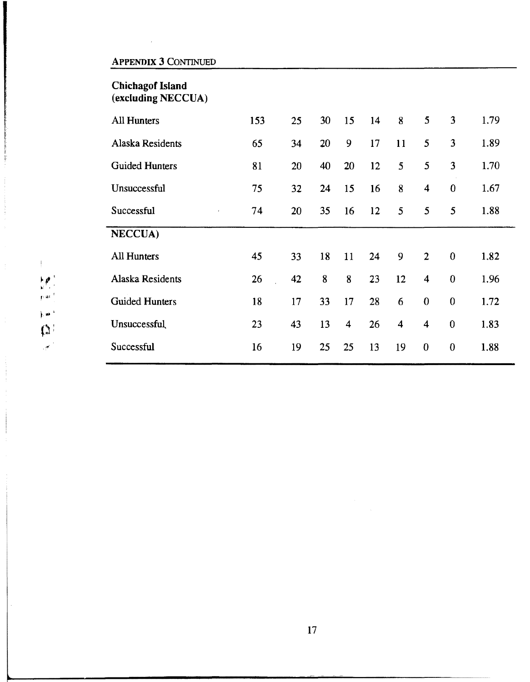# APPENDIX 3 CONTINUED

## Chichagof Island (excluding NECCUA)

| All Hunters              | 153 | 25 | 30 | 15                      | 14 | 8                       | 5                       | 3                | 1.79 |  |
|--------------------------|-----|----|----|-------------------------|----|-------------------------|-------------------------|------------------|------|--|
| Alaska Residents         | 65  | 34 | 20 | 9                       | 17 | 11                      | 5                       | 3                | 1.89 |  |
| <b>Guided Hunters</b>    | 81  | 20 | 40 | 20                      | 12 | 5                       | 5                       | 3                | 1.70 |  |
| Unsuccessful             | 75  | 32 | 24 | 15                      | 16 | 8                       | $\overline{\mathbf{4}}$ | $\mathbf{0}$     | 1.67 |  |
| Successful<br>$\epsilon$ | 74  | 20 | 35 | 16                      | 12 | 5                       | 5                       | 5                | 1.88 |  |
| <b>NECCUA)</b>           |     |    |    |                         |    |                         |                         |                  |      |  |
| <b>All Hunters</b>       | 45  | 33 | 18 | 11                      | 24 | 9                       | $\overline{2}$          | $\mathbf{0}$     | 1.82 |  |
| Alaska Residents         | 26  | 42 | 8  | 8                       | 23 | 12                      | $\overline{\mathbf{4}}$ | $\bf{0}$         | 1.96 |  |
| <b>Guided Hunters</b>    | 18  | 17 | 33 | 17                      | 28 | 6                       | $\boldsymbol{0}$        | $\bf{0}$         | 1.72 |  |
| Unsuccessful             | 23  | 43 | 13 | $\overline{\mathbf{4}}$ | 26 | $\overline{\mathbf{4}}$ | $\overline{\mathbf{4}}$ | $\boldsymbol{0}$ | 1.83 |  |
| Successful               | 16  | 19 | 25 | 25                      | 13 | 19                      | $\mathbf{0}$            | $\mathbf{0}$     | 1.88 |  |
|                          |     |    |    |                         |    |                         |                         |                  |      |  |

 $\mathfrak{f}$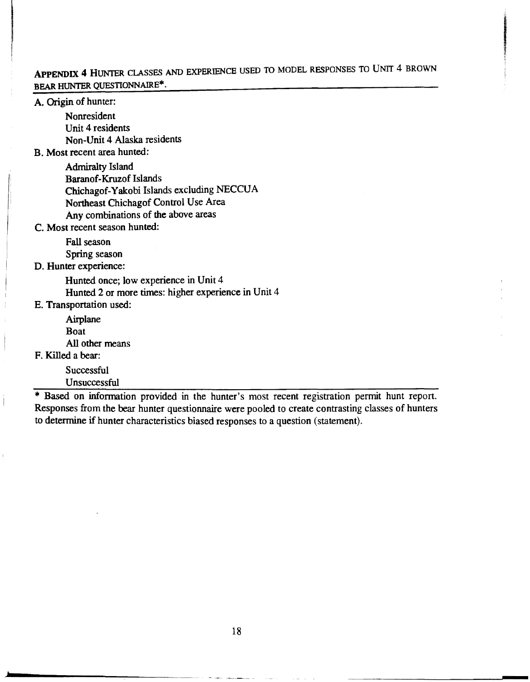# APPENDIX 4 HUNTER CLASSES AND EXPERIENCE USED TO MODEL RESPONSES TO UNIT 4 BROWN BEAR HUNTER QUESTIONNAIRE\*.

- Contrast Support Support Support Support Support Support Support Support Support Support Support Support Support Support Support Support Support Support Support Support Support Support Support Support Support Support S

A. Origin of hunter:

Nonresident Unit 4 residents Non-Unit 4 Alaska residents

B. Most recent area hunted:

Admiralty Island Baran of-Kruzof Islands Chichagof-Yakobi Islands excluding NECCUA Northeast Chichagof Control Use Area Any combinations of the above areas

C. Most recent season hunted:

Fall season Spring season

D. Hunter experience:

Hunted once; low experience in Unit 4 Hunted 2 or more times: higher experience in Unit 4

E. Transportation used:

Airplane Boat All other means

F. Killed a bear:

**Successful** 

Unsuccessful

\* Based on information provided in the hunter's most recent registration permit hunt report. Responses from the bear hunter questionnaire were pooled to create contrasting classes of hunters to determine if hunter characteristics biased responses to a question (statement}.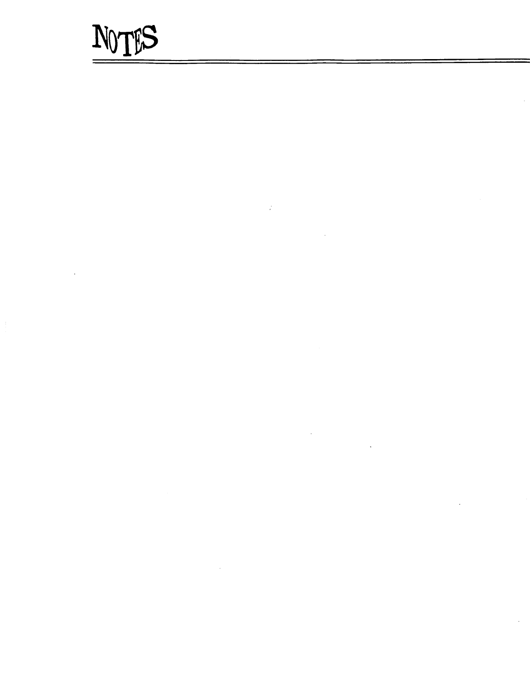# NOTES

 $\frac{1}{\epsilon}$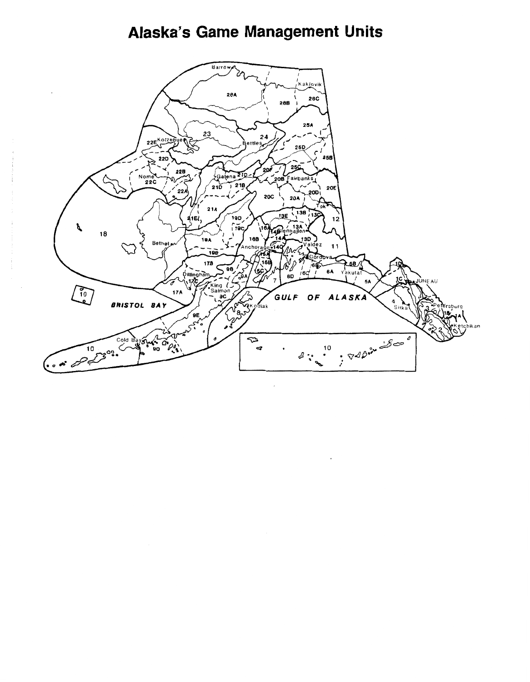# Alaska's Game Management Units